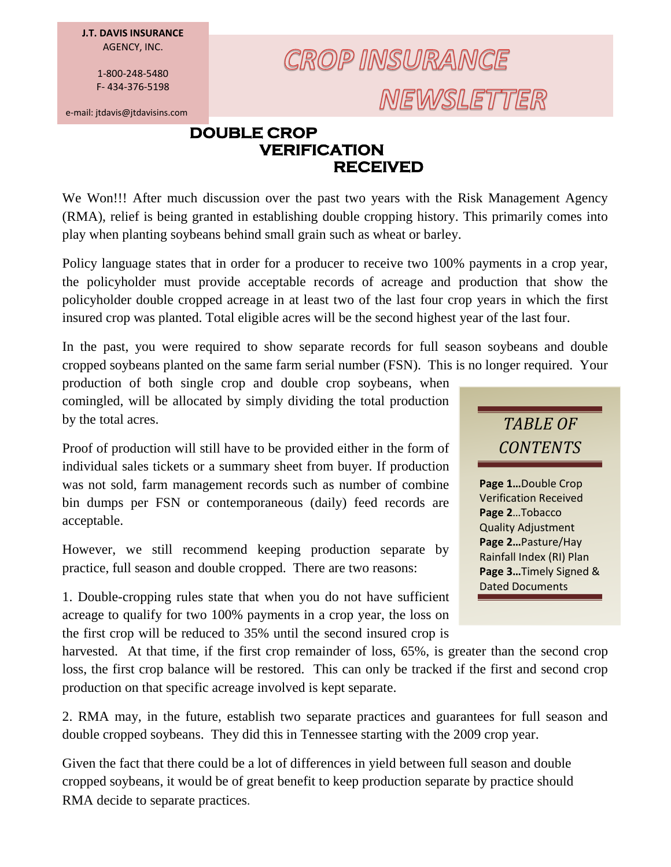**J.T. DAVIS INSURANCE** AGENCY, INC.

> 1-800-248-5480 F- 434-376-5198

e-mail: jtdavis@jtdavisins.com

## **CROP INSURANCE** NEWSLETTER

## **DOUBLE CROP VERIFICATION RECEIVED**

We Won!!! After much discussion over the past two years with the Risk Management Agency (RMA), relief is being granted in establishing double cropping history. This primarily comes into play when planting soybeans behind small grain such as wheat or barley.

Policy language states that in order for a producer to receive two 100% payments in a crop year, the policyholder must provide acceptable records of acreage and production that show the policyholder double cropped acreage in at least two of the last four crop years in which the first insured crop was planted. Total eligible acres will be the second highest year of the last four.

In the past, you were required to show separate records for full season soybeans and double cropped soybeans planted on the same farm serial number (FSN). This is no longer required. Your

production of both single crop and double crop soybeans, when comingled, will be allocated by simply dividing the total production by the total acres.

Proof of production will still have to be provided either in the form of individual sales tickets or a summary sheet from buyer. If production was not sold, farm management records such as number of combine bin dumps per FSN or contemporaneous (daily) feed records are acceptable.

However, we still recommend keeping production separate by practice, full season and double cropped. There are two reasons:

1. Double-cropping rules state that when you do not have sufficient acreage to qualify for two 100% payments in a crop year, the loss on the first crop will be reduced to 35% until the second insured crop is

harvested. At that time, if the first crop remainder of loss, 65%, is greater than the second crop loss, the first crop balance will be restored. This can only be tracked if the first and second crop production on that specific acreage involved is kept separate.

2. RMA may, in the future, establish two separate practices and guarantees for full season and double cropped soybeans. They did this in Tennessee starting with the 2009 crop year.

Given the fact that there could be a lot of differences in yield between full season and double cropped soybeans, it would be of great benefit to keep production separate by practice should RMA decide to separate practices.



**Page 1…**Double Crop Verification Received **Page 2**…Tobacco Quality Adjustment **Page 2…**Pasture/Hay Rainfall Index (RI) Plan **Page 3…**Timely Signed & Dated Documents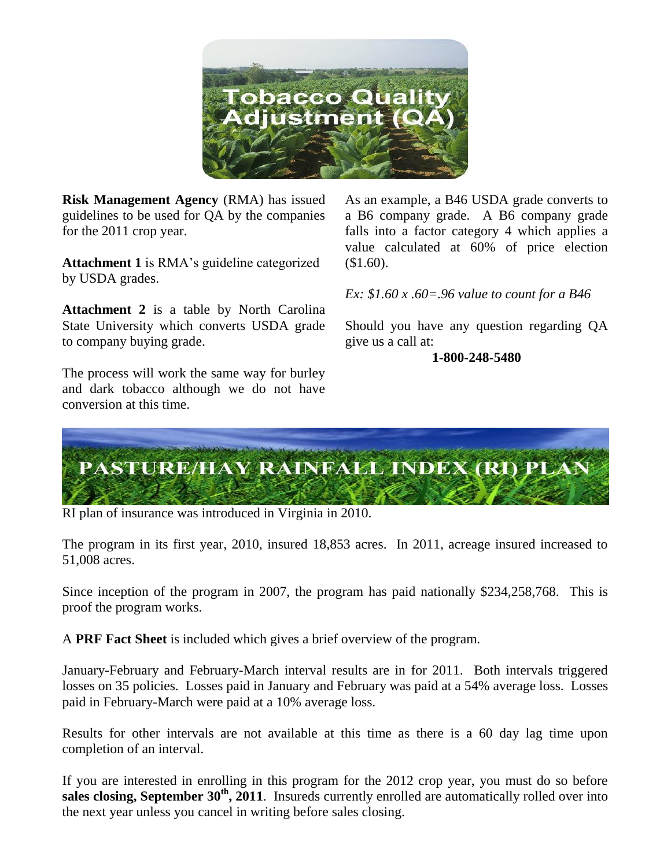

**Risk Management Agency** (RMA) has issued guidelines to be used for QA by the companies for the 2011 crop year.

**Attachment 1** is RMA's guideline categorized by USDA grades.

**Attachment 2** is a table by North Carolina State University which converts USDA grade to company buying grade.

The process will work the same way for burley and dark tobacco although we do not have conversion at this time.

As an example, a B46 USDA grade converts to a B6 company grade. A B6 company grade falls into a factor category 4 which applies a value calculated at 60% of price election  $(\$1.60).$ 

*Ex: \$1.60 x .60=.96 value to count for a B46*

Should you have any question regarding QA give us a call at:

**1-800-248-5480**



RI plan of insurance was introduced in Virginia in 2010.

The program in its first year, 2010, insured 18,853 acres. In 2011, acreage insured increased to 51,008 acres.

Since inception of the program in 2007, the program has paid nationally \$234,258,768. This is proof the program works.

A **PRF Fact Sheet** is included which gives a brief overview of the program.

January-February and February-March interval results are in for 2011. Both intervals triggered losses on 35 policies. Losses paid in January and February was paid at a 54% average loss. Losses paid in February-March were paid at a 10% average loss.

Results for other intervals are not available at this time as there is a 60 day lag time upon completion of an interval.

If you are interested in enrolling in this program for the 2012 crop year, you must do so before **sales closing, September 30th, 2011**. Insureds currently enrolled are automatically rolled over into the next year unless you cancel in writing before sales closing.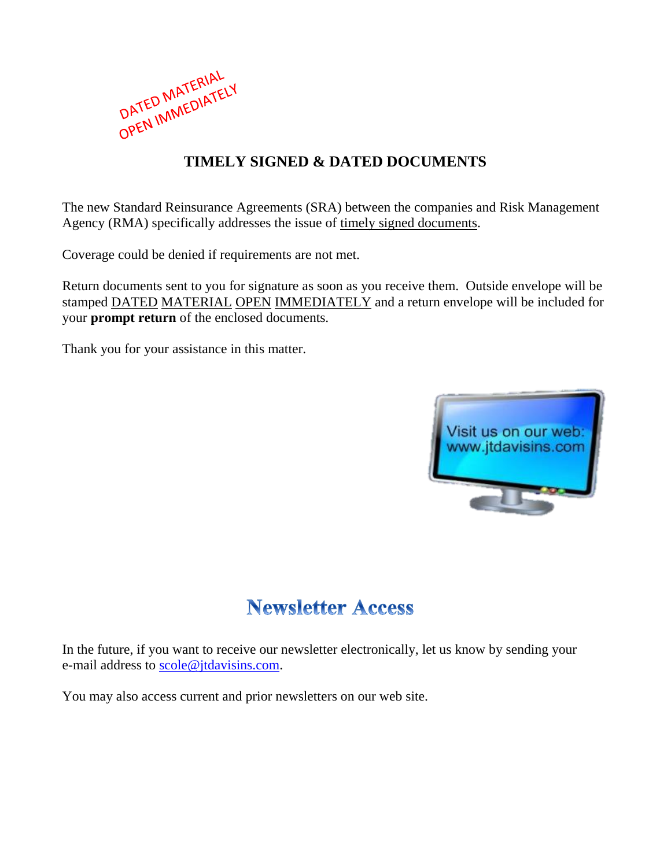

## **TIMELY SIGNED & DATED DOCUMENTS**

The new Standard Reinsurance Agreements (SRA) between the companies and Risk Management Agency (RMA) specifically addresses the issue of timely signed documents.

Coverage could be denied if requirements are not met.

Return documents sent to you for signature as soon as you receive them. Outside envelope will be stamped DATED MATERIAL OPEN IMMEDIATELY and a return envelope will be included for your **prompt return** of the enclosed documents.

Thank you for your assistance in this matter.



## **Newsletter Access**

In the future, if you want to receive our newsletter electronically, let us know by sending your e-mail address to [scole@jtdavisins.com.](mailto:scole@jtdavisins.com)

You may also access current and prior newsletters on our web site.